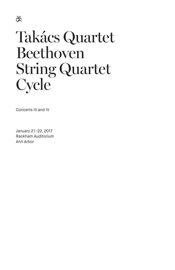

# Takács Quartet Beethoven String Quartet **Cycle**

Concerts III and IV

January 21–22, 2017 Rackham Auditorium Ann Arbor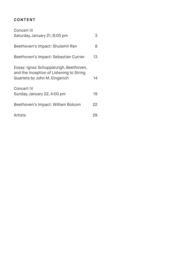## **CONTENT**

| Concert III                                                                                                        |    |  |
|--------------------------------------------------------------------------------------------------------------------|----|--|
| Saturday, January 21, 8:00 pm                                                                                      | 3  |  |
| Beethoven's Impact: Shulamit Ran                                                                                   | 8  |  |
| Beethoven's Impact: Sebastian Currier                                                                              | 13 |  |
| Essay: Ignaz Schuppanzigh, Beethoven,<br>and the Inception of Listening to String<br>Quartets by John M. Gingerich | 14 |  |
| <b>Concert IV</b><br>Sunday, January 22, 4:00 pm                                                                   | 19 |  |
| Beethoven's Impact: William Bolcom                                                                                 | 22 |  |
| Artists                                                                                                            | 29 |  |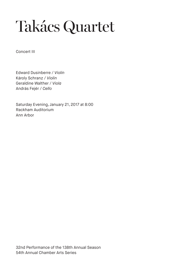# Takács Quartet

Concert III

Edward Dusinberre / *Violin* Károly Schranz / *Violin* Geraldine Walther / *Viola* András Fejér / *Cello*

Saturday Evening, January 21, 2017 at 8:00 Rackham Auditorium Ann Arbor

32nd Performance of the 138th Annual Season 54th Annual Chamber Arts Series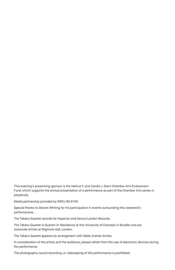This evening's presenting sponsor is the Helmut F. and Candis J. Stern Chamber Arts Endowment Fund, which supports the annual presentation of a performance as part of the Chamber Arts series in perpetuity.

Media partnership provided by WRCJ 90.9 FM.

Special thanks to Steven Whiting for his participation in events surrounding this weekend's performances.

The Takács Quartet records for Hyperion and Decca/London Records.

The Takács Quartet is Quartet-in-Residence at the University of Colorado in Boulder and are Associate Artists at Wigmore Hall, London.

The Takács Quartet appears by arrangement with Seldy Cramer Artists.

In consideration of the artists and the audience, please refrain from the use of electronic devices during the performance.

The photography, sound recording, or videotaping of this performance is prohibited.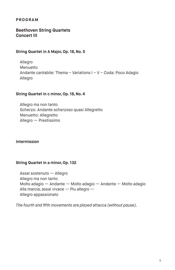#### **PROGRAM**

#### **Beethoven String Quartets Concert III**

#### **String Quartet in A Major, Op. 18, No. 5**

Allegro Menuetto Andante cantabile: Thema – Variations I – V – Coda: Poco Adagio Allegro

#### **String Quartet in c minor, Op. 18, No. 4**

Allegro ma non tanto Scherzo: Andante scherzoso quasi Allegretto Menuetto: Allegretto Allegro — Prestissimo

#### **Intermission**

#### **String Quartet in a minor, Op. 132**

Assai sostenuto — Allegro Allegro ma non tanto Molto adagio — Andante — Molto adagio — Andante — Molto adagio Alla marcia, assai vivace — Piu allegro — Allegro appassionato

*The fourth and fifth movements are played* attacca *(without pause).*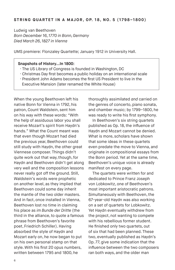Ludwig van Beethoven *Born December 16, 1770 in Bonn, Germany Died March 26, 1827 in Vienna*

UMS premiere: Flonzaley Quartette; January 1912 in University Hall.

#### **Snapshots of History…In 1800:**

- · The US Library of Congress is founded in Washington, DC
- · Christmas Day first becomes a public holiday on an international scale
- · President John Adams becomes the first US President to live in the Executive Mansion (later renamed the White House)

When the young Beethoven left his native Bonn for Vienna in 1792, his patron, Count Waldstein, sent him on his way with these words: "With the help of assiduous labor you shall receive Mozart's spirit from Haydn's hands." What the Count meant was that even though Mozart had died the previous year, Beethoven could still study with Haydn, the other great Viennese composer. Things didn't quite work out that way, though, for Haydn and Beethoven didn't get along very well and the composition lessons never really got off the ground. Still, Waldstein's words were prophetic on another level, as they implied that Beethoven could some day inherit the mantle of the two older masters. And in fact, once installed in Vienna, Beethoven lost no time in claiming his place as *im Bunde der Dritte* (the third in the alliance, to quote a famous phrase from Beethoven's favorite poet, Friedrich Schiller). Having absorbed the style of Haydn and Mozart early on, he now began to put on his own personal stamp on that style. With his first 20 opus numbers, written between 1795 and 1800, he

thoroughly assimilated *and* carried on the genres of concerto, piano sonata, and chamber music; by 1799–1800, he was ready to write his first symphony.

In Beethoven's six string quartets published as Op. 18, the influence of Haydn and Mozart cannot be denied. What is more, scholars have shown that some ideas in these quartets even predate the move to Vienna, and originate in compositional essays from the Bonn period. Yet at the same time, Beethoven's unique voice is already manifest on every page.

The quartets were written for and dedicated to Prince Franz Joseph von Lobkowitz, one of Beethoven's most important aristocratic patrons. Simultaneously with Beethoven, the 67-year-old Haydn was also working on a set of quartets for Lobkowitz. Yet Haydn eventually withdrew from the project, not wanting to compete with his rebellious former student. He finished only two quartets, out of six that had been planned. These two, eventually published as Haydn's Op. 77, give some indication that the influence between the two composers ran both ways, and the older man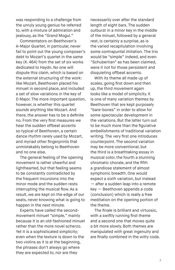was responding to a challenge from the unruly young genius he referred to, with a mixture of admiration and jealousy, as the "Grand Mogul."

Commentators on Beethoven's A-Major Quartet, in particular, never fail to point out the young composer's debt to Mozart's quartet in the same key (K. 464) from the set of six works dedicated to Haydn. No one will dispute this claim, which is based on the external structuring of the work: like Mozart, Beethoven placed his minuet in second place, and included a set of slow variations in the key of D Major. The more important question, however, is whether this quartet *sounds* anything like Mozart. And there, the answer has to be a definite no. From the very first measures we hear the sudden offbeat accents so typical of Beethoven, a certain dance rhythm rarely used by Mozart, and myriad other fingerprints that unmistakably belong to Beethoven and no one else.

The general feeling of the opening movement is rather cheerful and lighthearted, but that feeling seems to be constantly contradicted by the frequent incursions into the minor mode and the sudden rests interrupting the musical flow. As a result, we are kept on the edge of our seats, never knowing what is going to happen in the next minute.

Experts have called the secondmovement minuet "simple," mainly because it is an old-fashioned minuet rather than the more novel scherzo. Yet it is a sophisticated simplicity; even when the texture is down to the two violins as it is at the beginning, the phrases don't always go where they are expected to, nor are they

necessarily over after the standard length of eight bars. The sudden outburst in a minor key in the middle of the minuet, followed by a general rest, is certainly a surprise, as is the varied recapitulation involving some contrapuntal imitation. The trio would be "simple" indeed, and even "Schubertian" as has been claimed, were it not for those persistent and disquieting offbeat accents.

With its theme all made up of scales, going first down and then up, the third movement again looks like a model of simplicity. It is one of many variation themes by Beethoven that are kept purposely "bare-bones" in order to allow for some spectacular development in the variations. But the latter turn out to be much more than the figurative embellishments of traditional variation writing. The very first one introduces counterpoint. The second variation may be more conventional, but the third is a breathtaking essay in musical color, the fourth a stunning chromatic chorale, and the fifth a grandiose statement of almost symphonic breadth. One would expect a sixth variation, but instead — after a sudden leap into a remote key — Beethoven appends a coda (conclusion) which is really a free meditation on the opening portion of the theme.

The finale is brilliant and virtuosic, with a swiftly running first theme and a second one that moves quite a bit more slowly. Both themes are manipulated with great ingenuity and are finally combined in the witty coda.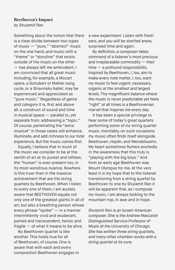#### **Beethoven's Impact**  by Shulamit Ran

Something about the notion that there is a clear divide between two types of music — "pure," "abstract" music on the one hand, and music with a "theme" or "storyline" that exists outside of the music on the other — has always left me ambivalent. I am convinced that all great music including, for example, a Mozart opera, a Schubert or Mahler song cycle, or a Stravinsky ballet, may be experienced and appreciated as "pure music." Regardless of genre and category it is, first and above all, a construct of sound and time in musical space — parallel to, yet separate from, addressing a "topic." Of course, penetrating the "extra musical" in those cases will enhance, illuminate, and add richness to our total experience. But the music comes first.

Equally, I believe that in much of the music we consider to be at the zenith of art at its purest and loftiest, the "human" is ever-present too, in its most wondrous nuance. Nowhere is this truer than in the massive achievement that are the string quartets by Beethoven. When I listen to every one of them, I am acutely aware that BEETHOVEN equals not only one of the greatest giants in all of art, but also a breathing person whose every phrase "spoke" — in a manner intermittently vivid and exuberant, pained and transcendent, heroic and fragile — of what it means to be alive.

No Beethoven quartet is like another. This holds true for all of Beethoven, of course. One is aware that with each and every composition Beethoven engages in a new experiment. Listen with fresh ears, and you will be startled anew, surprised time and again.

By definition, a composer takes command of a listener's most precious and irreplaceable commodity — their time — a profound responsibility. Inspired by Beethoven, I, too, aim to make every note matter. I, too, want my music to feel urgent, necessary, organic at the smallest and largest levels. The magnificent balance where the music is never predictable yet feels "right" at all times is a Beethovenian marvel that inspires me every day.

It has been a special privilege to hear some of today's great quartets performing some of my string quartet music. Inevitably, on such occasions my music often finds itself alongside Beethoven, Haydn, and Mendelssohn. My heart sometimes flutters excitedly in the awareness that this truly is "playing with the big boys." And from an early age Beethoven was Mount Olympus for me. At the very least it is my hope that to the listener transitioning from a string quartet by Beethoven to one by Shulamit Ran it will be apparent that, as I compose my music, I am always looking to the mountain-top, in awe and in hope.

*Shulamit Ran is an Israeli-American composer. She is the Andrew MacLeish Distinguished Service Professor of Music at the University of Chicago. She has written three string quartets, and many other chamber works with a string quartet at its core.*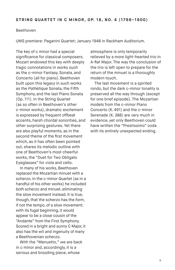#### Beethoven

UMS premiere: Paganini Quartet; January 1948 in Rackham Auditorium.

The key of c minor had a special significance for classical composers. Mozart endowed this key with deeply tragic connotations in works such as the c-minor Fantasy, Sonata, and Concerto (all for piano). Beethoven built upon this legacy in such works as the *Pathétique* Sonata, the Fifth Symphony, and the last Piano Sonata (Op. 111). In the String Quartet (as so often in Beethoven's other c-minor works), dramatic excitement is expressed by frequent offbeat accents, harsh chordal sonorities, and other surprising gestures. Yet there are also playful moments, as in the second theme of the first movement which, as it has often been pointed out, shares its melodic outline with one of Beethoven's most cheerful works, the "Duet for Two Obligato Eyeglasses" for viola and cello.

In many of his works, Beethoven replaced the Mozartian minuet with a scherzo. In the c-minor Quartet (as in a handful of his other works) he included *both* scherzo and minuet, eliminating the slow movement instead. It is true, though, that the scherzo has the *form*, if not the tempo, of a slow movement; with its fugal beginning, it would appear to be a close cousin of the "Andante" from the First Symphony. Scored in a bright and sunny C Major, it also has the wit and ingenuity of many a Beethovenian scherzo.

With the "Menuetto," we are back in c minor and, accordingly, it is a serious and brooding piece, whose

atmosphere is only temporarily relieved by a more light-hearted trio in A-flat Major. The way the conclusion of the trio is left open to prepare for the return of the minuet is a thoroughly modern touch.

The last movement is a spirited rondo, but the dark c-minor tonality is preserved all the way through (except for one brief episode). The Mozartian models from the c-minor Piano Concerto (K. 491) and the c-minor Serenade (K. 388) are very much in evidence, yet only Beethoven could have written the "Prestissimo" coda with its entirely unexpected ending.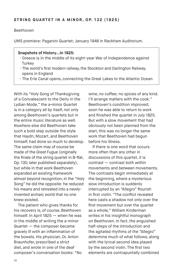#### Beethoven

UMS premiere: Paganini Quartet; January 1948 in Rackham Auditorium.

#### **Snapshots of History…In 1825:**

- · Greece is in the middle of its eight-year War of Independence against **Turkey**
- · The world's first modern railway, the Stockton and Darlington Railway, opens in England
- · The Erie Canal opens, connecting the Great Lakes to the Atlantic Ocean

With its "Holy Song of Thanksgiving of a Convalescent to the Deity in the Lydian Mode," the a**-**minor Quartet is in a category all by itself, not only among Beethoven's quartets but in the entire music literature as well. Nowhere else did Beethoven take such a bold step outside the style that Haydn, Mozart, and Beethoven himself, had done so much to develop. The same claim may of course be made of the *Great Fugue* (originally the finale of the string quartet in B-flat, Op. 130, later published separately), but while in that work Beethoven expanded an existing framework almost beyond recognition, in the "Holy Song" he did the opposite: he reduced his means and retreated into a newlyinvented archaic world that no one knew existed.

The patient who gives thanks for his recovery is, of course, Beethoven himself. In April 1825 — when he was in the middle of writing the a-minor Quartet — the composer became gravely ill with an inflammation of the bowels. His physician, Dr. Anton Braunhofer, prescribed a strict diet, and wrote in one of the deaf composer's conversation books: "No

wine, no coffee; no spices of any kind. I'll arrange matters with the cook." Beethoven's condition improved; soon he was able to return to work and finished the quartet in July 1825. But with a slow movement that had obviously not been planned from the start, this was no longer the same work that Beethoven had begun before his illness.

If there is one word that occurs more often than any other in discussions of this quartet, it is *contrast* — contrast both *within*  movements and *between* movements. The contrasts begin immediately at the beginning, where a mysterious slow introduction is suddenly interrupted by an "Allegro" flourish in first violin. "The conflict revealed here casts a shadow not only over the first movement but over the quartet as a whole," William Kinderman writes in his insightful monograph on Beethoven. In fact, the anguished half-steps of the introduction and the agitated rhythms of the "Allegro" determine much of what follows, along with the lyrical second idea played by the second violin. The first two elements are contrapuntally combined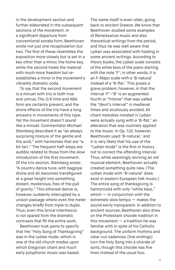in the development section and further elaborated in the subsequent sections of the movement. In a significant departure from conventional sonata form, Beethoven wrote not just one recapitulation but two. The first of these resembles the exposition more closely but is set in a key other than a minor, the home key, while the second treats the material with much more freedom but reestablishes a minor in the movement's vibrantly dramatic coda.

To say that the second movement is a minuet with trio is both true and untrue. The 3/4 time and ABA form are certainly present, and the drone effects of the trio have a long ancestry in movements of this type. Yet the movement doesn't *sound* like a minuet. Commentator Michael Steinberg described it as "an always surprising mixture of the gentle and the acid," with harmonies that are "a bit tart." The frequent half-steps are audibly related to those from the slow introduction of the first movement. Of the trio section, Steinberg wrote: "A country dance tune, with bagpipe drone and all, becomes transfigured at a great height into something distant, mysterious, free of the pull of gravity." This ethereal dance is, however, suddenly interrupted by a unison passage where even the meter changes briefly from triple to duple. Thus, even this lyrical intermezzo is not spared from the dramatic contrasts that fill the entire work.

Beethoven took pains to specify that the "Holy Song of Thanksgiving" was in the Lydian mode, which is one of the old church modes upon which Gregorian chant and much early polyphonic music was based.

The name itself is even older, going back to ancient Greece. We know that Beethoven studied some examples of Renaissance music and also theoretical writings from the period, and thus he was well aware that Lydian was associated with healing in some ancient writings. According to theory books, the Lydian scale consists of the white keys of the piano starting with the note 'F'; in other words, it is an F-Major scale with a 'B-natural' instead of a 'B-flat.' This poses a grave problem, however, in that the interval 'F'–'B' is an augmented fourth or "tritone" that was called the "devil's interval" in medieval times and studiously avoided. All chant melodies notated in Lydian were actually sung with a 'B-flat,' an alteration that was routinely applied to the music. In Op. 132, however, Beethoven used 'B-natural,' and it is very likely that his use of the "Lydian mode" is the first in history not to correct the offending interval. Thus, while seemingly reviving an old musical element, Beethoven actually created something quite new. (The Lydian mode with 'B-natural' does exist in eastern European folk music.) The entire song of thanksgiving is harmonized with only "white keys," which  $-$  in conjunction with the extremely slow tempo — makes the sound eerily transparent. In addition to ancient sources, Beethoven also drew on the Protestant chorale tradition in this movement  $-$  a tradition he was familiar with in spite of his Catholic background. The uniform rhythms and clear-cut cadences (line endings) turn the Holy Song into a chorale of sorts, though this chorale has five lines instead of the usual four.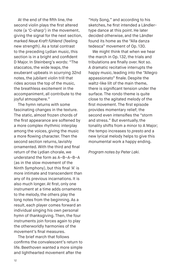At the end of the fifth line, the second violin plays the first altered note (a 'C-sharp') in the movement, giving the signal for the next section, marked *Neue Kraft fühlend* (feeling new strength). As a total contrast to the preceding Lydian music, this section is in a bright and confident D Major. In Steinberg's words: "The staccatos, the wide leaps, the exuberant upbeats in scurrying 32nd notes, the jubilant violin trill that rides across the top of the music, the breathless excitement in the accompaniment, all contribute to the joyful atmosphere."

The hymn returns with some fascinating changes in the texture. The static, almost frozen chords of the first appearance are softened by a more complex rhythmic interplay among the voices, giving the music a more flowing character. Then the second section returns, lavishly ornamented. With the third and final return of the Lydian chorale, we understand the form as A–B–A–B–A (as in the slow movement of the Ninth Symphony), but this final 'A' is more intimate and transcendent than any of its previous incarnations. It is also much longer. At first, only one instrument at a time adds ornaments to the melody, the others play the long notes from the beginning. As a result, each player comes forward an individual singing his own personal hymn of thanksgiving. Then, the four instruments join forces again to play the otherworldly harmonies of the movement's final measures.

The brief march that follows confirms the convalescent's return to life. Beethoven wanted a more simple and lighthearted movement after the

"Holy Song," and according to his sketches, he first intended a Ländlertype dance at this point. He later decided otherwise, and the Ländler found its home as the "Alla danza tedesca" movement of Op. 130.

We might think that when we hear the march in Op. 132, the trials and tribulations are finally over. Not so. A dramatic recitative interrupts the happy music, leading into the "Allegro appassionato" finale. Despite the waltz-like lilt of the main theme, there is significant tension under the surface. The rondo theme is quite close to the agitated melody of the first movement. The first episode provides momentary relief; the second even intensifies the "storm and stress." But eventually, the tonality shifts from a minor to A Major; the tempo increases to *presto* and a new lyrical melody helps to give this monumental work a happy ending.

*Program notes by Peter Laki.*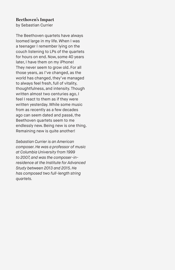## **Beethoven's Impact**

by Sebastian Currier

The Beethoven quartets have always loomed large in my life. When I was a teenager I remember lying on the couch listening to LPs of the quartets for hours on end. Now, some 40 years later, I have them on my iPhone! They never seem to grow old. For all those years, as I've changed, as the world has changed, they've managed to always feel fresh, full of vitality, thoughtfulness, and intensity. Though written almost two centuries ago, I feel I react to them as if they were written yesterday. While some music from as recently as a few decades ago can seem dated and passé, the Beethoven quartets seem to me endlessly new. Being new is one thing. Remaining new is quite another!

*Sebastian Currier is an American composer. He was a professor of music at Columbia University from 1999 to 2007, and was the composer-inresidence at the Institute for Advanced Study between 2013 and 2015. He has composed two full-length string quartets.*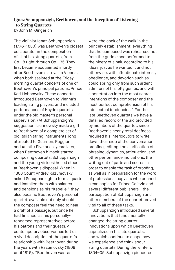## **Ignaz Schuppanzigh, Beethoven, and the Inception of Listening to String Quartets**

by John M. Gingerich

The violinist Ignaz Schuppanzigh (1776–1830) was Beethoven's closest collaborator in the composition of all of his string quartets, from Op. 18 right through Op. 135. They first became acquainted shortly after Beethoven's arrival in Vienna, when both assisted at the Friday morning quartet concerts of one of Beethoven's principal patrons, Prince Karl Lichnowsky. These concerts introduced Beethoven to Vienna's leading string players, and included performances of Haydn quartets under the old master's personal supervision. (At Schuppanzigh's suggestion, Lichnowsky made a gift to Beethoven of a complete set of old Italian string instruments, long attributed to Guarneri, Ruggieri, and Amati.) Five or six years later, when Beethoven himself started composing quartets, Schuppanzigh and the young virtuosi he led stood at Beethoven's disposal. When in 1808 Count Andrey Razumovsky asked Schuppanzigh to form a quartet and installed them with salaries and pensions as his "Kapelle," they also became Beethoven's personal quartet, available not only should the composer feel the need to hear a draft of a passage, but once he had finished, as his personallyrehearsed representatives before his patrons and their guests. A contemporary observer has left us a vivid description of the quartet's relationship with Beethoven during the years with Razumovsky (1808 until 1816): "Beethoven was, as it

were, the cock of the walk in the princely establishment; everything that he composed was rehearsed hot from the griddle and performed to the nicety of a hair, according to his ideas, just as he wanted it and not otherwise, with affectionate interest, obedience, and devotion such as could spring only from such ardent admirers of his lofty genius, and with a penetration into the most secret intentions of the composer and the most perfect comprehension of his intellectual tendencies." For the late Beethoven quartets we have a detailed record of the aid provided by members of the quartet, since Beethoven's nearly total deafness required his interlocutors to write down their side of the conversation: proofing, editing, the clarification of phrasing, dynamics, articulation, and other performance indications, the writing out of parts and scores in order to enable the task of proofing, as well as in preparation for the work of professional copyists who penned clean copies for Prince Galitzin and several different publishers—the participation of Schuppanzigh and other members of the quartet proved vital to all of these tasks.

Schuppanzigh introduced several innovations that fundamentally changed the string quartet, innovations upon which Beethoven capitalized in his late quartets, and which continue to shape how we experience and think about string quartets. During the winter of 1804–05, Schuppanzigh pioneered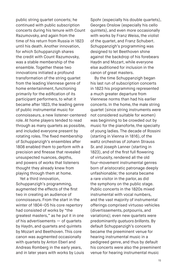public string quartet concerts; he continued with public subscription concerts during his tenure with Count Razumovsky, and again from the time of his return from Russia in 1823 until his death. Another innovation, for which Schuppanzigh shares the credit with Count Razumovsky, was a stable membership of the ensemble. Together these two innovations initiated a profound transformation of the string quartet from the leading Viennese genre of home entertainment, functioning primarily for the edification of its participant performers, to what it became after 1823, the leading genre of public instrumental music for connoisseurs, a new listener-centered role. At home players tended to read through as many quartets as possible, and included everyone present by rotating roles. The fixed membership of Schuppanzigh's ensembles after 1808 enabled them to perform with a precision and finesse that revealed unsuspected nuances, depths, and powers of works that listeners thought they already knew from playing through them at home.

Yet a third innovation, Schuppanzigh's programming, augmented the effects of the first two in creating an audience of connoisseurs. From the start in the winter of 1804–05 his core repertory had consisted of works by "the greatest masters," as he put it in one of his advertisements — of quartets by Haydn, and quartets and quintets by Mozart and Beethoven. This core canon was augmented occasionally with quartets by Anton Eberl and Andreas Romberg in the early years, and in later years with works by Louis Spohr (especially his double quartets), Georges Onslow (especially his cello quintets), and even more occasionally with works by Franz Weiss, the violist of the quartet, and Franz Schubert. Schuppanzigh's programming was designed to let Beethoven shine against the backdrop of his forebears Haydn and Mozart, while everyone else auditioned for inclusion in the canon of great masters.

By the time Schuppanzigh began his last run of subscription concerts in 1823 his programming represented a much greater departure from Viennese norms than had his earlier concerts. In the home, the male string quartet (since string instruments were not considered suitable for women) was beginning to be crowded out by music for the pianoforte, the specialty of young ladies. The decade of Rossini (starting in Vienna in 1816), of the waltz orchestras of Johann Strauss Sr. and Joseph Lanner (starting in 1823), and of the first full flowering of virtuosity, rendered all the old four-movement instrumental genres born of aristocratic patronage deeply unfashionable; the sonata became a rare visitor in the parlor, as did the symphony on the public stage. Public concerts in the 1820s mixed instrumental with vocal numbers, and the vast majority of instrumental offerings comprised virtuoso vehicles (divertissements, potpourris, and variations); even new quartets were predominantly *quatuors brillants*. By default Schuppanzigh's concerts became the preeminent venue for hearing instrumental music in a pedigreed genre, and thus by default his concerts were also the preeminent venue for hearing instrumental music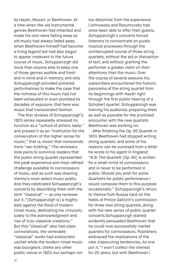by Haydn, Mozart, or Beethoven. At a time when the old instrumental genres Beethoven had inherited and made his own were fading away as old music had always faded away, when Beethoven himself had become a living legend but had also begun to appear irrelevant to the future course of music, Schuppanzigh did more than anyone else to keep one of those genres audible and fresh and in mind and in memory, and only Schuppanzigh provided polished performances to make the case that the richness of this music had not been exhausted or even plumbed by decades of exposure, that here was music that transcended fashion.

The first reviews of Schuppanzigh's 1823 series repeatedly stressed its function as a "school of artistic taste," and praised it as an "institution for the conservation of the higher sense for music," that is, music that transcends mere "ear-tickling." The reviewers took pains to convince readers that the public string quartet represented the peak experience and most refined challenge available to connoisseurs of music, and as such was drawing Vienna's most select music public. And they celebrated Schuppanzigh's concerts by describing them with the term "classical" — as one reviewer put it, "[Schuppanzigh is] a mighty dam against the flood of modern tinsel music, dedicating his virtuosity solely to the acknowledgment and rise of truly classical creations." But this "classical" also had class connotations; the venerable "classical" works had aristocratic cachet while the modern tinsel music was bourgeois. Unlike any other public venue in 1823, but perhaps not

too dissimilar from the experience Lichnowsky and Razumovsky had once been able to offer their guests, Schuppanzigh's concerts forced listeners to concentrate on purely musical processes through the uninterrupted course of three string quartets, without the aid or distraction of text, and without granting the performer a greater claim on their attentions than the music. Over the course of several seasons his subscribers encountered the historic panorama of the string quartet from its beginnings with Haydn right through the first public hearing of a Schubert quartet. Schuppanzigh was training his audience, preparing them as well as possible for the promised encounter with the new quartets Beethoven was working on.

After finishing the Op. 95 Quartet in 1810, Beethoven had stopped writing string quartets, and some of his reasons can be surmised from a letter he wrote to his agent in England: "N.B. The Quartett [Op. 95] is written for a small circle of connoisseurs and is never to be performed in public. Should you wish for some Quartetts for public performance I would compose them to this purpose occasionally." Schuppanzigh's return to Vienna from Russia hard on the heels of Prince Galitzin's commission for three new string quartets, along with the new series of public quartet concerts Schuppanzigh started evidently persuaded Beethoven that he could now successfully market quartets for connoisseurs. Publishers embraced the implications of the new classicizing tendencies. As one put it, "I won't collect the interest for 20 years; but with Beethoven I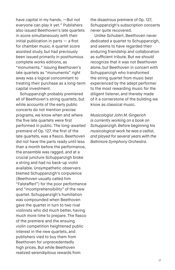have capital in my hands. —But not everyone can play it yet." Publishers also issued Beethoven's late quartets in score simultaneously with their initial publication in parts  $-$  a first for chamber music. A quartet score assisted study, but had previously been issued primarily in posthumous complete works editions, as "monuments." Issuing Beethoven's late quartets as "monuments" right away was a logical concomitant to treating their purchase as a long-term capital investment.

Schuppanzigh probably premiered all of Beethoven's string quartets, but while accounts of the early public concerts do not mention precise programs, we know when and where the five late quartets were first performed in public. The long-awaited premiere of Op. 127, the first of the late quartets, was a fiasco. Beethoven did not have the parts ready until less than a month before the performance, the ensemble was ragged, and at a crucial juncture Schuppanzigh broke a string and had no back-up violin available. Unsympathetic observers blamed Schuppanzigh's corpulence (Beethoven usually called him "Falstafferl") for the poor performance and "incomprehensibility" of the new quartet. Schuppanzigh's humiliation was compounded when Beethoven gave the quartet in turn to two rival violinists who did much better, having much more time to prepare. The fiasco of the premiere and the ensuing violin competition heightened public interest in the new quartets, and publishers vied to buy them from Beethoven for unprecedentedly high prices. But while Beethoven realized serendipitous rewards from

the disastrous premiere of Op. 127, Schuppanzigh's subscription concerts never quite recovered.

Unlike Schubert, Beethoven never dedicated a quartet to Schuppanzigh, and seems to have regarded their enduring friendship and collaboration as sufficient tribute. But we should recognize that it was not Beethoven alone, but Beethoven in concert with Schuppanzigh who transformed the string quartet from music best experienced by the adept performer to the most rewarding music for the diligent listener, and thereby made of it a cornerstone of the building we know as classical music.

*Musicologist John M. Gingerich is currently working on a book on Schuppanzigh. Before beginning his musicological work he was a cellist, and played for several years with the Baltimore Symphony Orchestra.*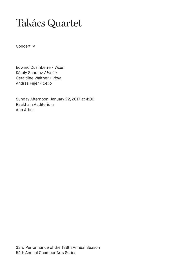# Takács Quartet

Concert IV

Edward Dusinberre / *Violin* Károly Schranz / *Violin* Geraldine Walther / *Viola* András Fejér / *Cello*

Sunday Afternoon, January 22, 2017 at 4:00 Rackham Auditorium Ann Arbor

33rd Performance of the 138th Annual Season 54th Annual Chamber Arts Series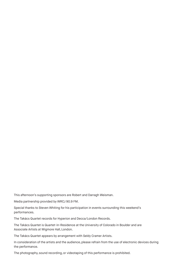This afternoon's supporting sponsors are Robert and Darragh Weisman.

Media partnership provided by WRCJ 90.9 FM.

Special thanks to Steven Whiting for his participation in events surrounding this weekend's performances.

The Takács Quartet records for Hyperion and Decca/London Records.

The Takács Quartet is Quartet-in-Residence at the University of Colorado in Boulder and are Associate Artists at Wigmore Hall, London.

The Takács Quartet appears by arrangement with Seldy Cramer Artists.

In consideration of the artists and the audience, please refrain from the use of electronic devices during the performance.

The photography, sound recording, or videotaping of this performance is prohibited.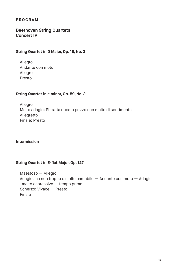#### **PROGRAM**

#### **Beethoven String Quartets Concert IV**

#### **String Quartet in D Major, Op. 18, No. 3**

Allegro Andante con moto Allegro Presto

#### **String Quartet in e minor, Op. 59, No. 2**

Allegro Molto adagio: Si tratta questo pezzo con molto di sentimento Allegretto Finale: Presto

#### **Intermission**

#### **String Quartet in E-flat Major, Op. 127**

Maestoso — Allegro Adagio, ma non troppo e molto cantabile — Andante con moto — Adagio molto espressivo — tempo primo Scherzo: Vivace — Presto Finale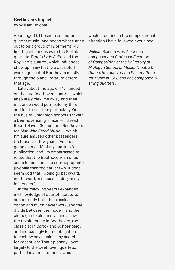## **Beethoven's Impact**

by William Bolcom

About age 11, I became enamored of quartet music (and began what turned out to be a group of 12 of them). My first big influences were the Bartók quartets, Berg's *Lyric Suite*, and the Roy Harris quartet, which influences show up in my first two quartets. I was cognizant of Beethoven mostly through the piano literature before that age.

Later, about the age of 14, I landed on the late Beethoven quartets, which absolutely blew me away, and their influence would permeate my third and fourth quartets particularly. On the bus to junior high school I sat with a Beethovenian grimace — I'd read Robert Haven Schauffler's *Beethoven, the Man Who Freed Music —* which I'm sure amused other passengers. (In these last few years I've been going over all 12 of my quartets for publication, and I'm embarrassed to relate that the Beethoven-ish ones seem to me more like age-appropriate juvenilia than the earlier two. It does seem odd that I would go backward, not forward, in musical history in my influences.)

In the following years I expanded my knowledge of quartet literature, concurrently both the classical canon and much newer work, and the divide between the modern and the old began to blur in my mind. I saw the revolutionary in Beethoven, the classicist in Bartók and Schoenberg, and increasingly felt no obligation to eschew any music in my search for vocabulary. That epiphany I owe largely to the Beethoven quartets, particularly the later ones, which

would steer me in the compositional direction I have followed ever since.

*William Bolcom is an American composer and Professor Emeritus of Composition at the University of Michigan School of Music, Theatre & Dance. He received the Pulitzer Prize for Music in 1988 and has composed 12 string quartets.*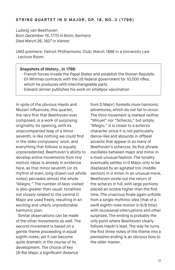Ludwig van Beethoven *Born December 16, 1770 in Bonn, Germany Died March 26, 1827 in Vienna*

UMS premiere: Detroit Philharmonic Club; March 1888 in a University Law Lecture Room.

#### **Snapshots of History…In 1798:**

- · French forces invade the Papal States and establish the Roman Republic
- · Eli Whitney contracts with the US federal government for 10,000 rifles, which he produces with interchangeable parts
- · Edward Jenner publishes his work on smallpox vaccination

In spite of the obvious Haydn and Mozart influences, this quartet, the very first that Beethoven ever composed, is a work of surprising originality. Its opening, with its unaccompanied leap of a minor seventh, is like nothing we could find in the older composers' work, and everything that follows is equally unprecedented. Beethoven's ability to develop entire movements from tiny motivic ideas is already in evidence here, as that minor seventh (or its rhythm of even, long-drawn-out whole notes) pervades almost the whole "Allegro." The number of keys visited is also greater than usual: tonalities not closely related to the central D Major are used freely, resulting in an exciting and utterly unpredictable harmonic plan.

Similar observations can be made of the other movements as well. The second movement is based on a gentle theme proceeding in equal eighth notes; yet it can become quite dramatic in the course of its development. The choice of key (B-flat Major, a significant distance

from D Major) foretells more harmonic adventures, which do not fail to occur. The third movement is marked neither "Minuet" nor "Scherzo," but simply "Allegro." It is closer to a scherzo character since it is not particularly dance-like and abounds in offbeat accents that appear in so many of Beethoven's scherzos. Its first phrase oscillates between major and minor in a most unusual fashion. The tonality eventually settles in D Major, only to be displaced by an agitated trio (middle section) in d minor. In an unusual move, Beethoven wrote out the return of the scherzo in full, with large portions placed an octave higher than the first time. The vivacious finale again unfolds from a single rhythmic idea (that of a swift eighth-note motion in 6/8 time) with occasional interruptions and other surprises. The ending is probably the only point where Beethoven clearly follows Haydn's lead. The way he turns the first three notes of the theme into a *pianissimo* ending is an obvious bow to the older master.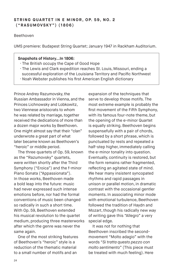#### STRING QUARTET IN E MINOR, OP. 59, NO. 2 **("RASUMOVSKY") (1806)**

#### Beethoven

UMS premiere: Budapest String Quartet; January 1947 in Rackham Auditorium.

#### **Snapshots of History…In 1806:**

- · The British occupy the Cape of Good Hope
- · The Lewis and Clark expedition reaches St. Louis, Missouri, ending a successful exploration of the Louisiana Territory and Pacific Northwest
- · Noah Webster publishes his first American English dictionary

Prince Andrey Razumovsky, the Russian Ambassador in Vienna, and the Princes Lichnowsky and Lobkowitz, two Viennese aristocrats to whom he was related by marriage, together received the dedications of more than a dozen major works by Beethoven. One might almost say that their "clan" underwrote a great part of what later became known as Beethoven's "heroic" or middle period.

The three quartets of Op. 59, known as the "Razumovsky" quartets, were written shortly after the Third Symphony ("Eroica") and the f-minor Piano Sonata ("Appassionata"). In those works, Beethoven made a bold leap into the future: music had never expressed such intense emotions before, nor had the formal conventions of music been changed so radically in such a short time. With Op. 59, Beethoven extended his musical revolution to the quartet medium, producing three masterworks after which the genre was never the same again.

One of the most striking features of Beethoven's "heroic" style is a reduction of the thematic material to a small number of motifs and an

expansion of the techniques that serve to develop those motifs. The most extreme example is probably the first movement of the Fifth Symphony, with its famous four-note theme, but the opening of the e-minor Quartet is equally striking. Beethoven begins suspensefully with a pair of chords, followed by a short phrase, which is punctuated by rests and repeated a half-step higher, immediately calling the e-minor tonality into question. Eventually, continuity is restored, but the form remains rather fragmented, reflecting an agitated state of mind. We hear many insistent syncopated rhythms and rapid passages in unison or parallel motion, in dramatic contrast with the occasional gentler moments. In associating minor mode with emotional turbulence, Beethoven followed the tradition of Haydn and Mozart, though his radically new way of writing gave this "Allegro" a very special edge.

It was not for nothing that Beethoven inscribed the secondmovement "Molto adagio" with the words "*Si tratta questo pezzo con molto sentimento*" (This piece must be treated with much feeling). Here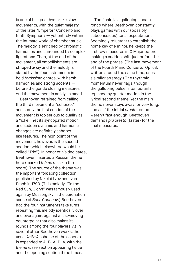is one of his great hymn-like slow movements, with the quiet majesty of the later "Emperor" Concerto and Ninth Symphony — yet entirely within the intimate world of chamber music. The melody is enriched by chromatic harmonies and surrounded by complex figurations. Then, at the end of the movement, all embellishments are stripped away and the melody is stated by the four instruments in bold *fortissimo* chords, with harsh harmonies and strong accents before the gentle closing measures end the movement in an idyllic mood.

Beethoven refrained from calling the third movement a "scherzo," and surely the first section of the movement is too serious to qualify as a "joke." Yet its syncopated motion and sudden dynamic and harmonic changes are definitely scherzolike features. The high point of the movement, however, is the second section (which elsewhere would be called "Trio"). In honor of his dedicatee, Beethoven inserted a Russian theme here (marked *thème russe* in the score). The source of the theme was the important folk song collection published by Nikolai Lvov and Ivan Prach in 1790. (This melody, "To the Red Sun, Glory!" was famously used again by Mussorgsky in the coronation scene of *Boris Godunov*.) Beethoven had the four instruments take turns repeating this melody identically over and over again, against a fast-moving counterpoint that also makes its rounds among the four players. As in several other Beethoven works, the usual A–B–A scheme of the scherzo is expanded to A–B–A–B–A, with the *thème russe* section appearing twice and the opening section three times.

The finale is a galloping sonata rondo where Beethoven constantly plays games with our (possibly subconscious) tonal expectations. Seemingly reluctant to establish the home key of e minor, he keeps the first few measures in C Major before making a sudden shift just before the end of the phrase. (The last movement of the Fourth Piano Concerto, Op. 58, written around the same time, uses a similar strategy.) The rhythmic momentum never flags, though the galloping pulse is temporarily replaced by quieter motion in the lyrical second theme. Yet the main theme never stays away for very long; and as if the initial *presto* tempo weren't fast enough, Beethoven demands *più presto* (faster) for the final measures.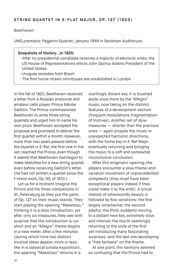#### Beethoven

UMS premiere: Paganini Quartet; January 1949 in Rackham Auditorium.

#### **Snapshots of History…In 1825:**

- · After no presidential candidate receives a majority of electoral votes, the US House of Representatives elects John Quincy Adams President of the United States
- · Uruguay secedes from Brazil
- · The first horse-drawn omnibuses are established in London

In the fall of 1822, Beethoven received a letter from a Russian aristocrat and amateur cello player, Prince Nikolai Galitzin. The Prince commissioned Beethoven to write three string quartets and urged him to name his own price. Beethoven accepted the proposal and promised to deliver the first quartet within a month. However, more than two years passed before the Quartet in E-flat, the first one in the set, reached the Prince, even though it seems that Beethoven had begun to make sketches for a new string quartet even before receiving Galitzin's letter. (He had not written a quartet since the f-minor work, Op. 95, of 1810.)

Let us for a moment imagine the Prince and his three companions in St. Petersburg as they put the parts of Op. 127 on their music stands. They start playing the opening "Maestoso," thinking it is a slow introduction; yet after only six measures, they see with surprise that the introduction is cut short and an "Allegro" theme begins in a new meter. After a few minutes (during which time two distinct musical ideas appear, more or less like in a classical sonata exposition), the opening "Maestoso" returns in a

startlingly distant key. It is brushed aside once more by the "Allegro" music, now taking on the distinct features of a development section (frequent modulations, fragmentation of motives). Another set of slow measures — shorter than the previous ones — again propels the music in unexpected harmonic directions, with the home key in E-flat Major eventually returning and bringing the music to a soft and somewhat inconclusive conclusion.

After this enigmatic opening, the players encounter a slow theme-andvariation movement of unprecedented complexity (they must have been exceptional players indeed if they could make it to the end!). A lyrical melody of otherworldly beauty is followed by five variations: the first largely ornamental; the second playful; the third, suddenly moving to a distant new key, extremely slow and intense; the fourth seemingly returning to the style of the first yet introducing many fascinating surprises; and the last one developing a "free fantasia" on the theme.

At one point, the harmony seemed so confusing that the Prince had to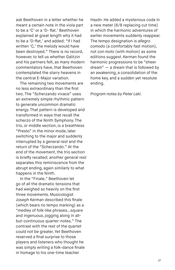ask Beethoven in a letter whether he meant a certain note in the viola part to be a 'C' or a 'D- flat.' Beethoven explained at great length why it had to be a 'D-flat,' and added: "If I had written 'C,' the melody would have been destroyed." There is no record, however, to tell us whether Galitzin and his partners felt, as many modern commentators have, that Beethoven contemplated the starry heavens in the central E-Major variation.

The remaining two movements are no less extraordinary than the first two. The "Scherzando vivace" uses an extremely simple rhythmic pattern to generate uncommon dramatic energy. That pattern is developed and transformed in ways that recall the scherzo of the Ninth Symphony. The trio, or middle section, is a breathless "Presto" in the minor mode, later switching to the major and suddenly interrupted by a general rest and the return of the "Scherzando." At the end of the movement, the trio section is briefly recalled; another general rest separates this reminiscence from the abrupt ending, again similarly to what happens in the Ninth.

In the "Finale," Beethoven let go of all the dramatic tensions that had weighed so heavily on the first three movements. Musicologist Joseph Kerman described this finale (which bears no tempo marking) as a "medley of folk-like phrases…square and ingenuous, jogging along in allbut-continuous quarter-notes." The contrast with the rest of the quartet could not be greater. Yet Beethoven reserved a final surprise to those players and listeners who thought he was simply writing a folk-dance finale in homage to his one-time teacher

Haydn. He added a mysterious coda in a new meter (6/8 replacing cut time) in which the harmonic adventures of earlier movements suddenly reappear. The tempo designation is *allegro comodo* (a comfortably fast motion), not *con moto* (with motion) as some editions suggest. Kerman found the harmonic progressions to be "sheer dream" — a dream that is followed by an awakening, a consolidation of the home key, and a sudden yet resolute ending.

*Program notes by Peter Laki.*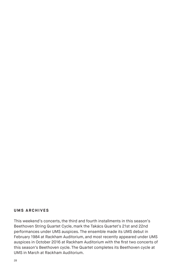#### **UMS ARCHIVES**

This weekend's concerts, the third and fourth installments in this season's Beethoven String Quartet Cycle, mark the Takács Quartet's 21st and 22nd performances under UMS auspices. The ensemble made its UMS debut in February 1984 at Rackham Auditorium, and most recently appeared under UMS auspices in October 2016 at Rackham Auditorium with the first two concerts of this season's Beethoven cycle. The Quartet completes its Beethoven cycle at UMS in March at Rackham Auditorium.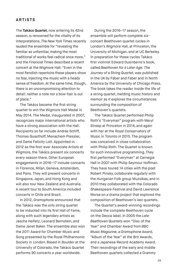#### **ARTISTS**

The **Takács Quartet**, now entering its 42nd season, is renowned for the vitality of its interpretations. *The New York Times* recently lauded the ensemble for "revealing the familiar as unfamiliar, making the most traditional of works feel radical once more," and the *Financial Times* described a recent concert at the Wigmore Hall: "Even in the most fiendish repertoire these players show no fear, injecting the music with a heady sense of freedom. At the same time, though, there is an uncompromising attention to detail: neither a note nor a bow-hair is out of place."

The Takács became the first string quartet to win the Wigmore Hall Medal in May 2014. The Medal, inaugurated in 2007, recognizes major international artists who have a strong association with the Hall. Recipients so far include András Schiff, Thomas Quasthoff, Menachem Pressler, and Dame Felicity Lott. Appointed in 2012 as the first-ever Associate Artists at Wigmore, the Takács present six concerts every season there. Other European engagements in 2016–17 include concerts in Florence, Milan, Geneva, Amsterdam, and Paris. They will present concerts in Singapore, Japan, and Hong Kong and will also tour New Zealand and Australia. A recent tour to South America included concerts in Chile and Brazil.

In 2012, *Gramophone* announced that the Takács was the only string quartet to be inducted into its first Hall of Fame, along with such legendary artists as Jascha Heifetz, Leonard Bernstein, and Dame Janet Baker. The ensemble also won the 2011 Award for Chamber Music and Song presented by the Royal Philharmonic Society in London. Based in Boulder at the University of Colorado, the Takács Quartet performs 90 concerts a year worldwide.

During the 2016–17 season, the ensemble will perform complete sixconcert Beethoven quartet cycles in London's Wigmore Hall, at Princeton, the University of Michigan, and at UC Berkeley. In preparation for these cycles Takács first violinist Edward Dusinberre's book, called *Beethoven for a Later Age: The Journey of a String Quartet*, was published in the UK by Faber and Faber and in North America by the University of Chicago Press. The book takes the reader inside the life of a string quartet, melding music history and memoir as it explores the circumstances surrounding the composition of Beethoven's quartets.

The Takács Quartet performed Philip Roth's "Everyman" program with Meryl Streep at Princeton in 2014, and again with her at the Royal Conservatory of Music in Toronto in 2015. The program was conceived in close collaboration with Philip Roth. The Quartet is known for such innovative programming. They first performed "Everyman" at Carnegie Hall in 2007 with Philip Seymour Hoffman. They have toured 14 cities with the poet Robert Pinsky, collaborate regularly with the Hungarian Folk group Muzsikas, and in 2010 they collaborated with the Colorado Shakespeare Festival and David Lawrence Morse on a drama project that explored the composition of Beethoven's last quartets.

The Quartet's award-winning recordings include the complete Beethoven cycle on the Decca label. In 2005 the *Late Beethoven Quartets* won "Disc of the Year" and Chamber Award from *BBC Music Magazine*, a *Gramophone* Award, "Album of the Year" at the Brit Awards, and a Japanese Record Academy Award. Their recordings of the early and middle Beethoven quartets collected a Grammy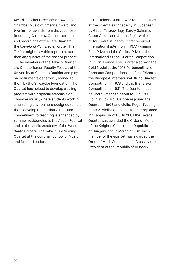Award, another *Gramophone* Award, a Chamber Music of America Award, and two further awards from the Japanese Recording Academy. Of their performances and recordings of the Late Quartets, the *Cleveland Plain Dealer* wrote "The Takács might play this repertoire better than any quartet of the past or present."

The members of the Takács Quartet are Christoffersen Faculty Fellows at the University of Colorado Boulder and play on instruments generously loaned to them by the Shwayder Foundation. The Quartet has helped to develop a string program with a special emphasis on chamber music, where students work in a nurturing environment designed to help them develop their artistry. The Quartet's commitment to teaching is enhanced by summer residencies at the Aspen Festival and at the Music Academy of the West, Santa Barbara. The Takács is a Visiting Quartet at the Guildhall School of Music and Drama, London.

The Takács Quartet was formed in 1975 at the Franz Liszt Academy in Budapest by Gabor Takács-Nagy, Károly Schranz, Gabor Ormai, and András Fejér, while all four were students. It first received international attention in 1977, winning First Prize and the Critics' Prize at the International String Quartet Competition in Evian, France. The Quartet also won the Gold Medal at the 1978 Portsmouth and Bordeaux Competitions and First Prizes at the Budapest International String Quartet Competition in 1978 and the Bratislava Competition in 1981. The Quartet made its North American debut tour in 1982. Violinist Edward Dusinberre joined the Quartet in 1993 and violist Roger Tapping in 1995. Violist Geraldine Walther replaced Mr. Tapping in 2005. In 2001 the Takács Quartet was awarded the Order of Merit of the Knight's Cross of the Republic of Hungary, and in March of 2011 each member of the Quartet was awarded the Order of Merit Commander's Cross by the President of the Republic of Hungary.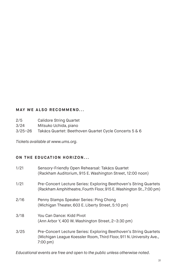#### **MAY WE ALSO RECOMMEND...**

- 2/5 Calidore String Quartet
- 3/24 Mitsuko Uchida, piano
- 3/25–26 Takács Quartet: Beethoven Quartet Cycle Concerts 5 & 6

*Tickets available at www.ums.org.*

### **ON THE EDUCATION HORIZON...**

| 1/21 | Sensory-Friendly Open Rehearsal: Takács Quartet<br>(Rackham Auditorium, 915 E. Washington Street, 12:00 noon)                                                    |
|------|------------------------------------------------------------------------------------------------------------------------------------------------------------------|
| 1/21 | Pre-Concert Lecture Series: Exploring Beethoven's String Quartets<br>(Rackham Amphitheatre, Fourth Floor, 915 E. Washington St., 7:00 pm)                        |
| 2/16 | Penny Stamps Speaker Series: Ping Chong<br>(Michigan Theater, 603 E. Liberty Street, 5:10 pm)                                                                    |
| 3/18 | You Can Dance: Kidd Pivot<br>(Ann Arbor Y, 400 W. Washington Street, 2-3:30 pm)                                                                                  |
| 3/25 | Pre-Concert Lecture Series: Exploring Beethoven's String Quartets<br>(Michigan League Koessler Room, Third Floor, 911 N. University Ave.,<br>$7:00 \text{ pm}$ ) |

*Educational events are free and open to the public unless otherwise noted.*